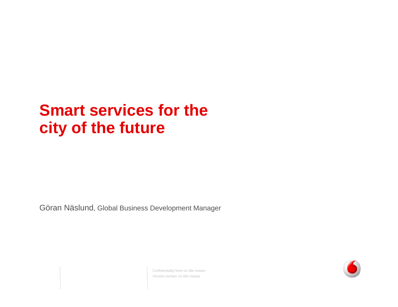# **Smart services for the cit y of the future**

Göran Näslund, Global Business Development Manager

Confidentiality level on title master Version number on title master

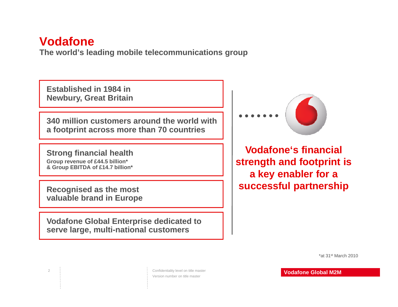### **Vodafone**

**The world's leading gp mobile telecommunications group**

**Established in 1984 in N b G t B it i Newbury, Great Britain** 

**340 million customers around the world with a footprint across more than 70 countries**

**Strong financial health Group revenue of £44.5 billion\* & Group EBITDA of £14.7 billion\*** 

**valuable brand in Europe**

2

**Vodafone Global Enterprise dedicated to serve large, multi-national customers**



**Vodafone's financial strength and footprint is <sup>a</sup> key enabler for <sup>a</sup>** Recognised as the most **and in the successful partnership** 

\*at 31st March 2010

Confidentiality level on title master Version number on title master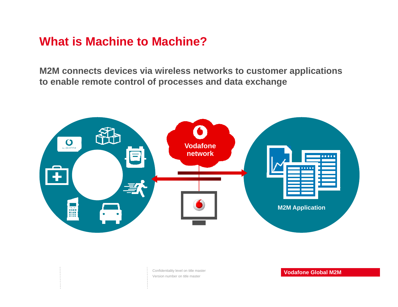## **What is Machine to Machine?**

**M2M connects devices via wireless networks to customer applications to enable remote control of processes and data exchange**



Confidentiality level on title master Version number on title master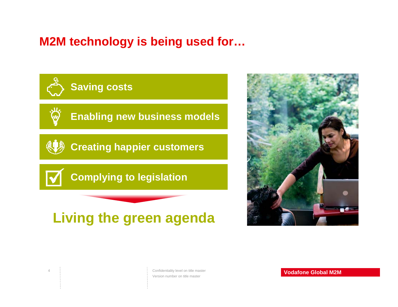## **M2M technology is being used for…**



4



Confidentiality level on title master Version number on title master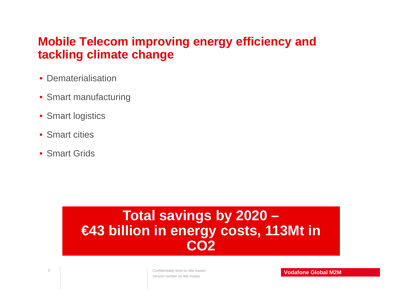## **Mobile Telecom improving energy efficiency and tackling climate change**

- Dematerialisation
- Smart manufacturing
- Smart logistics
- Smart cities
- Smart Grids

5

## **T t l i b 2020 To al savings by 2020 – €43 billion in energy costs, 113Mt in CO2**

Confidentiality level on title master Version number on title master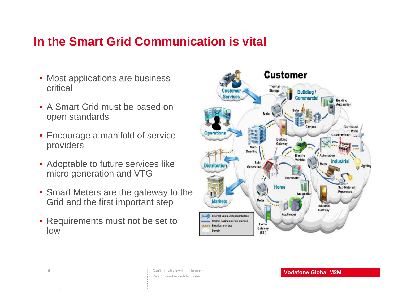## **In the Smart Grid Communication is vital**

- Most applications are business critical
- A Smart Grid must be based on open standards
- $\bullet\,$  Encourage a manifold of service providers
- Adoptable to future services like micro generation and VTG
- Smart Meters are the gateway to the Grid and the first important step
- Requirements must not be set to low

6



Confidentiality level on title master Version number on title master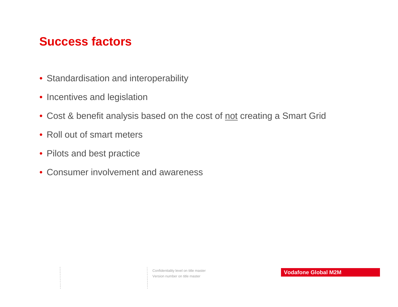## **Success factors**

- Standardisation and interoperability
- $\bullet$  Incentives and legislation
- Cost & benefit analysis based on the cost of <u>not</u> creating a Smart Grid
- Roll out of smart meters
- Pilots and best practice
- Consumer involvement and awareness

Confidentiality level on title master Version number on title master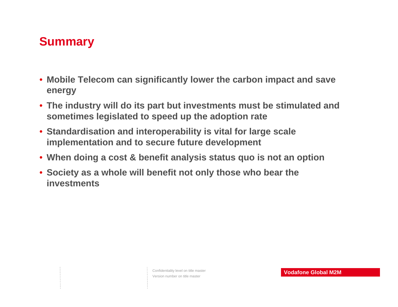## **Summary**

- **Mobile Telecom can significantly lower the carbon impact and save energy**
- **The industry will do its part but investments must be stimulated and sometimes legislated to speed up the adoption rate**
- **Standardisation and interoperability is vital for large scale interoperability for implementation and to secure future development**
- **When doing a cost & benefit analysis status quo is not an option**
- Society as a whole will benefit not only those who bear the **investments**